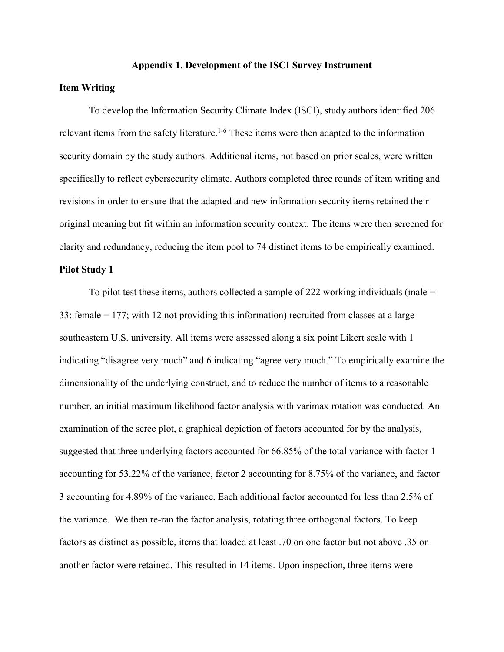#### **Appendix 1. Development of the ISCI Survey Instrument**

#### **Item Writing**

To develop the Information Security Climate Index (ISCI), study authors identified 206 relevant items from the safety literature.<sup>1-6</sup> These items were then adapted to the information security domain by the study authors. Additional items, not based on prior scales, were written specifically to reflect cybersecurity climate. Authors completed three rounds of item writing and revisions in order to ensure that the adapted and new information security items retained their original meaning but fit within an information security context. The items were then screened for clarity and redundancy, reducing the item pool to 74 distinct items to be empirically examined.

#### **Pilot Study 1**

To pilot test these items, authors collected a sample of 222 working individuals (male = 33; female = 177; with 12 not providing this information) recruited from classes at a large southeastern U.S. university. All items were assessed along a six point Likert scale with 1 indicating "disagree very much" and 6 indicating "agree very much." To empirically examine the dimensionality of the underlying construct, and to reduce the number of items to a reasonable number, an initial maximum likelihood factor analysis with varimax rotation was conducted. An examination of the scree plot, a graphical depiction of factors accounted for by the analysis, suggested that three underlying factors accounted for 66.85% of the total variance with factor 1 accounting for 53.22% of the variance, factor 2 accounting for 8.75% of the variance, and factor 3 accounting for 4.89% of the variance. Each additional factor accounted for less than 2.5% of the variance. We then re-ran the factor analysis, rotating three orthogonal factors. To keep factors as distinct as possible, items that loaded at least .70 on one factor but not above .35 on another factor were retained. This resulted in 14 items. Upon inspection, three items were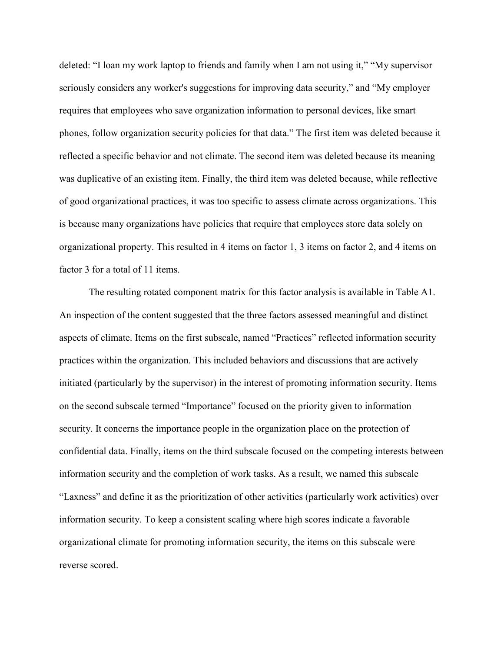deleted: "I loan my work laptop to friends and family when I am not using it," "My supervisor seriously considers any worker's suggestions for improving data security," and "My employer requires that employees who save organization information to personal devices, like smart phones, follow organization security policies for that data." The first item was deleted because it reflected a specific behavior and not climate. The second item was deleted because its meaning was duplicative of an existing item. Finally, the third item was deleted because, while reflective of good organizational practices, it was too specific to assess climate across organizations. This is because many organizations have policies that require that employees store data solely on organizational property. This resulted in 4 items on factor 1, 3 items on factor 2, and 4 items on factor 3 for a total of 11 items.

The resulting rotated component matrix for this factor analysis is available in Table A1. An inspection of the content suggested that the three factors assessed meaningful and distinct aspects of climate. Items on the first subscale, named "Practices" reflected information security practices within the organization. This included behaviors and discussions that are actively initiated (particularly by the supervisor) in the interest of promoting information security. Items on the second subscale termed "Importance" focused on the priority given to information security. It concerns the importance people in the organization place on the protection of confidential data. Finally, items on the third subscale focused on the competing interests between information security and the completion of work tasks. As a result, we named this subscale "Laxness" and define it as the prioritization of other activities (particularly work activities) over information security. To keep a consistent scaling where high scores indicate a favorable organizational climate for promoting information security, the items on this subscale were reverse scored.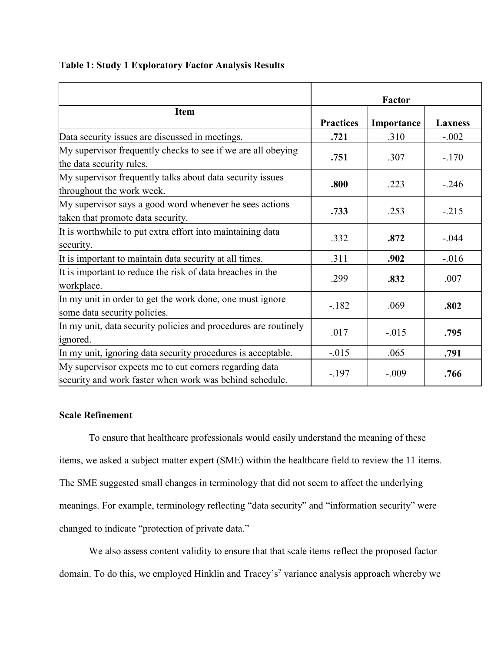**Table 1: Study 1 Exploratory Factor Analysis Results**

|                                                                                                                   | <b>Factor</b>    |            |                |
|-------------------------------------------------------------------------------------------------------------------|------------------|------------|----------------|
| <b>Item</b>                                                                                                       | <b>Practices</b> | Importance | <b>Laxness</b> |
| Data security issues are discussed in meetings.                                                                   | .721             | .310       | $-.002$        |
| My supervisor frequently checks to see if we are all obeying<br>the data security rules.                          | .751             | .307       | $-.170$        |
| My supervisor frequently talks about data security issues<br>throughout the work week.                            | .800             | .223       | $-.246$        |
| My supervisor says a good word whenever he sees actions<br>taken that promote data security.                      | .733             | .253       | $-.215$        |
| It is worthwhile to put extra effort into maintaining data<br>security.                                           | .332             | .872       | $-.044$        |
| It is important to maintain data security at all times.                                                           | .311             | .902       | $-.016$        |
| It is important to reduce the risk of data breaches in the<br>workplace.                                          | .299             | .832       | .007           |
| In my unit in order to get the work done, one must ignore<br>some data security policies.                         | $-.182$          | .069       | .802           |
| In my unit, data security policies and procedures are routinely<br>ignored.                                       | .017             | $-.015$    | .795           |
| In my unit, ignoring data security procedures is acceptable.                                                      | $-0.015$         | .065       | .791           |
| My supervisor expects me to cut corners regarding data<br>security and work faster when work was behind schedule. | $-.197$          | $-.009$    | .766           |

## **Scale Refinement**

To ensure that healthcare professionals would easily understand the meaning of these items, we asked a subject matter expert (SME) within the healthcare field to review the 11 items. The SME suggested small changes in terminology that did not seem to affect the underlying meanings. For example, terminology reflecting "data security" and "information security" were changed to indicate "protection of private data."

We also assess content validity to ensure that that scale items reflect the proposed factor domain. To do this, we employed Hinklin and Tracey's<sup>7</sup> variance analysis approach whereby we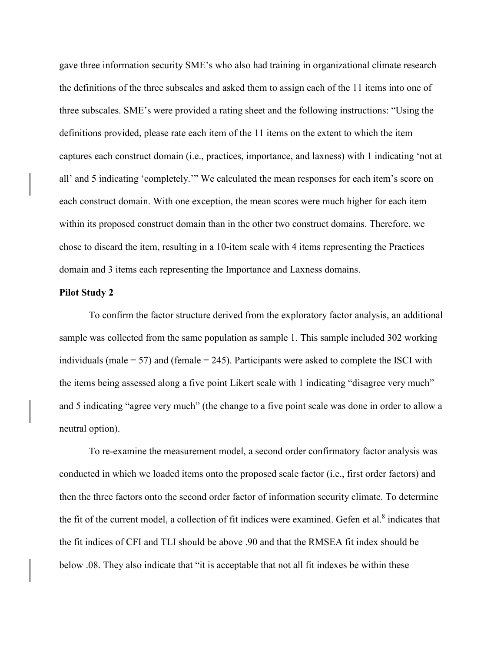gave three information security SME's who also had training in organizational climate research the definitions of the three subscales and asked them to assign each of the 11 items into one of three subscales. SME's were provided a rating sheet and the following instructions: "Using the definitions provided, please rate each item of the 11 items on the extent to which the item captures each construct domain (i.e., practices, importance, and laxness) with 1 indicating 'not at all' and 5 indicating 'completely.'" We calculated the mean responses for each item's score on each construct domain. With one exception, the mean scores were much higher for each item within its proposed construct domain than in the other two construct domains. Therefore, we chose to discard the item, resulting in a 10-item scale with 4 items representing the Practices domain and 3 items each representing the Importance and Laxness domains.

#### **Pilot Study 2**

To confirm the factor structure derived from the exploratory factor analysis, an additional sample was collected from the same population as sample 1. This sample included 302 working individuals (male  $= 57$ ) and (female  $= 245$ ). Participants were asked to complete the ISCI with the items being assessed along a five point Likert scale with 1 indicating "disagree very much" and 5 indicating "agree very much" (the change to a five point scale was done in order to allow a neutral option).

To re-examine the measurement model, a second order confirmatory factor analysis was conducted in which we loaded items onto the proposed scale factor (i.e., first order factors) and then the three factors onto the second order factor of information security climate. To determine the fit of the current model, a collection of fit indices were examined. Gefen et al.<sup>8</sup> indicates that the fit indices of CFI and TLI should be above .90 and that the RMSEA fit index should be below .08. They also indicate that "it is acceptable that not all fit indexes be within these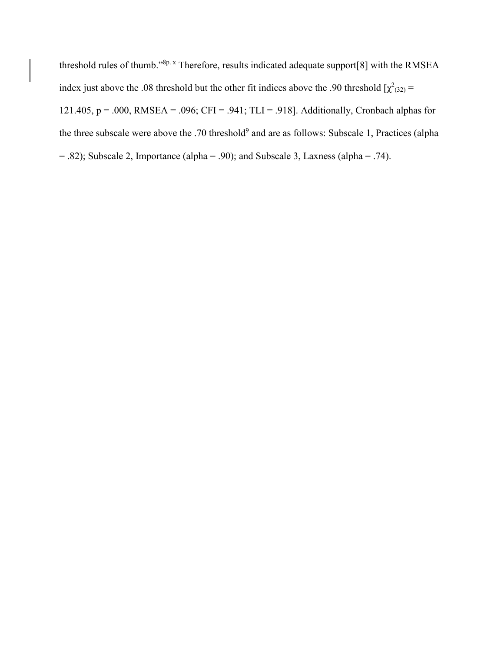threshold rules of thumb."<sup>8p. x</sup> Therefore, results indicated adequate support[8] with the RMSEA index just above the .08 threshold but the other fit indices above the .90 threshold  $[\chi^2_{(32)}]$  = 121.405, p = .000, RMSEA = .096; CFI = .941; TLI = .918]. Additionally, Cronbach alphas for the three subscale were above the .70 threshold<sup>9</sup> and are as follows: Subscale 1, Practices (alpha = .82); Subscale 2, Importance (alpha = .90); and Subscale 3, Laxness (alpha = .74).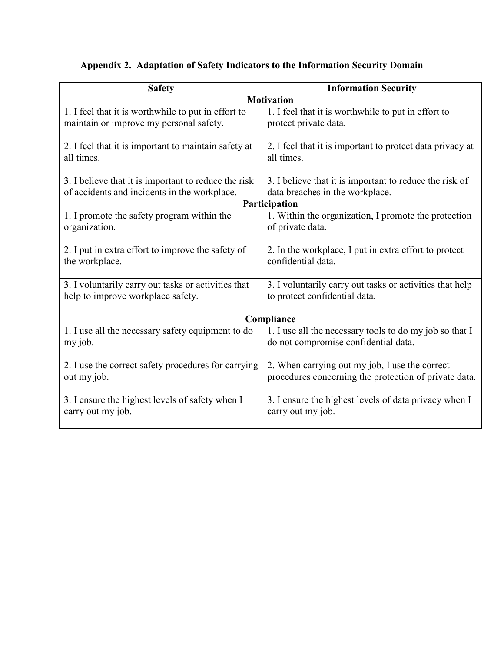# **Appendix 2. Adaptation of Safety Indicators to the Information Security Domain**

| <b>Safety</b>                                                      | <b>Information Security</b>                                             |  |  |
|--------------------------------------------------------------------|-------------------------------------------------------------------------|--|--|
| <b>Motivation</b>                                                  |                                                                         |  |  |
| 1. I feel that it is worthwhile to put in effort to                | 1. I feel that it is worthwhile to put in effort to                     |  |  |
| maintain or improve my personal safety.                            | protect private data.                                                   |  |  |
|                                                                    |                                                                         |  |  |
| 2. I feel that it is important to maintain safety at<br>all times. | 2. I feel that it is important to protect data privacy at<br>all times. |  |  |
|                                                                    |                                                                         |  |  |
| 3. I believe that it is important to reduce the risk               | 3. I believe that it is important to reduce the risk of                 |  |  |
| of accidents and incidents in the workplace.                       | data breaches in the workplace.                                         |  |  |
| Participation                                                      |                                                                         |  |  |
| 1. I promote the safety program within the                         | 1. Within the organization, I promote the protection                    |  |  |
| organization.                                                      | of private data.                                                        |  |  |
|                                                                    |                                                                         |  |  |
| 2. I put in extra effort to improve the safety of                  | 2. In the workplace, I put in extra effort to protect                   |  |  |
| the workplace.                                                     | confidential data.                                                      |  |  |
| 3. I voluntarily carry out tasks or activities that                | 3. I voluntarily carry out tasks or activities that help                |  |  |
| help to improve workplace safety.                                  | to protect confidential data.                                           |  |  |
|                                                                    |                                                                         |  |  |
| Compliance                                                         |                                                                         |  |  |
| 1. I use all the necessary safety equipment to do                  | 1. I use all the necessary tools to do my job so that I                 |  |  |
| my job.                                                            | do not compromise confidential data.                                    |  |  |
|                                                                    |                                                                         |  |  |
| 2. I use the correct safety procedures for carrying                | 2. When carrying out my job, I use the correct                          |  |  |
| out my job.                                                        | procedures concerning the protection of private data.                   |  |  |
| 3. I ensure the highest levels of safety when I                    | 3. I ensure the highest levels of data privacy when I                   |  |  |
| carry out my job.                                                  | carry out my job.                                                       |  |  |
|                                                                    |                                                                         |  |  |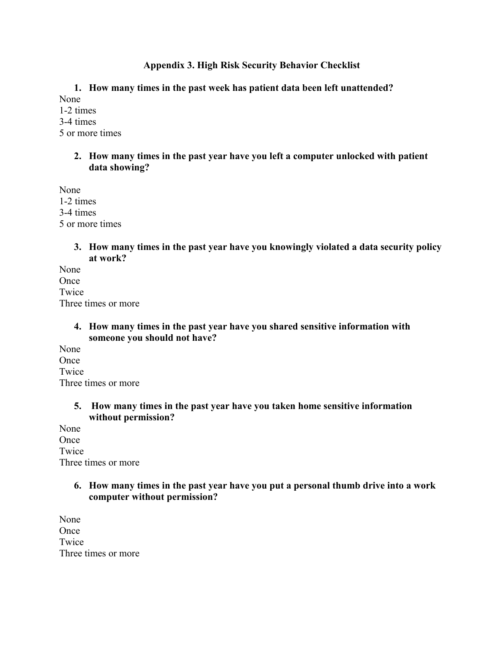# **Appendix 3. High Risk Security Behavior Checklist**

**1. How many times in the past week has patient data been left unattended?**

None 1-2 times 3-4 times 5 or more times

> **2. How many times in the past year have you left a computer unlocked with patient data showing?**

None 1-2 times 3-4 times 5 or more times

> **3. How many times in the past year have you knowingly violated a data security policy at work?**

None **Once** Twice Three times or more

## **4. How many times in the past year have you shared sensitive information with someone you should not have?**

None **Once** Twice Three times or more

## **5. How many times in the past year have you taken home sensitive information without permission?**

None Once Twice Three times or more

# **6. How many times in the past year have you put a personal thumb drive into a work computer without permission?**

None Once Twice Three times or more